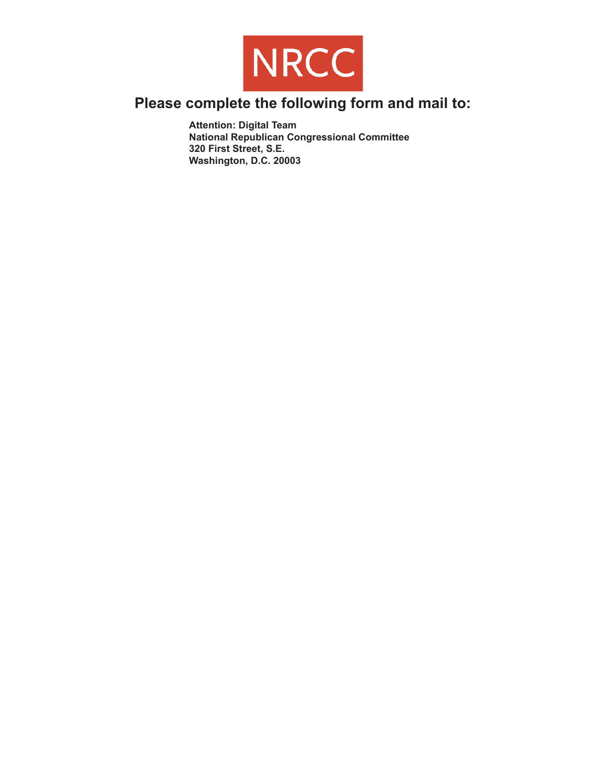

## **Please complete the following form and mail to:**

**Attention: Digital Team National Republican Congressional Committee 320 First Street, S.E. Washington, D.C. 20003**